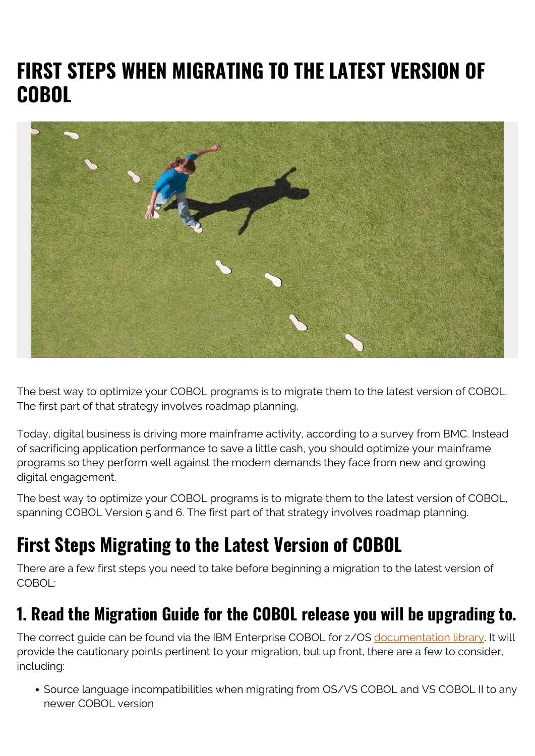# **FIRST STEPS WHEN MIGRATING TO THE LATEST VERSION OF COBOL**



The best way to optimize your COBOL programs is to migrate them to the latest version of COBOL. The first part of that strategy involves roadmap planning.

Today, digital business is driving more mainframe activity, according to a survey from BMC. Instead of sacrificing application performance to save a little cash, you should optimize your mainframe programs so they perform well against the modern demands they face from new and growing digital engagement.

The best way to optimize your COBOL programs is to migrate them to the latest version of COBOL, spanning COBOL Version 5 and 6. The first part of that strategy involves roadmap planning.

# **First Steps Migrating to the Latest Version of COBOL**

There are a few first steps you need to take before beginning a migration to the latest version of COBOL:

### **1. Read the Migration Guide for the COBOL release you will be upgrading to.**

The correct quide can be found via the IBM Enterprise COBOL for z/OS [documentation library.](http://www-01.ibm.com/support/docview.wss?uid=swg27036733) It will provide the cautionary points pertinent to your migration, but up front, there are a few to consider, including:

• Source language incompatibilities when migrating from OS/VS COBOL and VS COBOL II to any newer COBOL version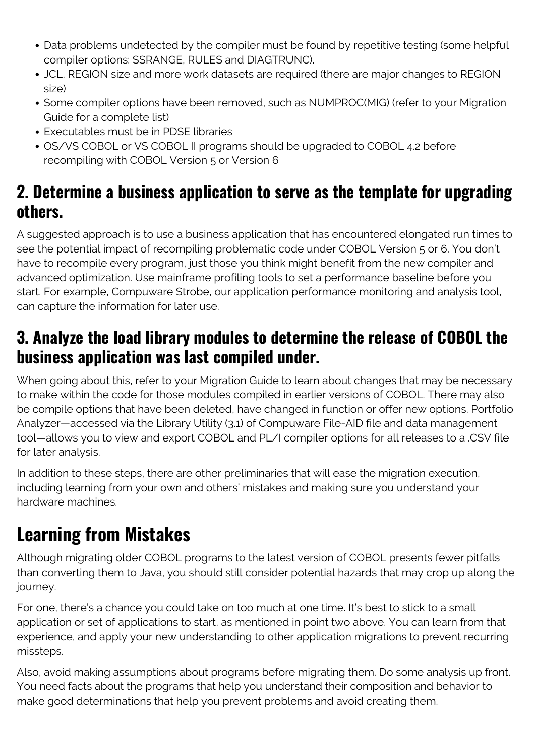- Data problems undetected by the compiler must be found by repetitive testing (some helpful compiler options: SSRANGE, RULES and DIAGTRUNC).
- JCL, REGION size and more work datasets are required (there are major changes to REGION size)
- Some compiler options have been removed, such as NUMPROC(MIG) (refer to your Migration Guide for a complete list)
- Executables must be in PDSE libraries
- OS/VS COBOL or VS COBOL II programs should be upgraded to COBOL 4.2 before recompiling with COBOL Version 5 or Version 6

### **2. Determine a business application to serve as the template for upgrading others.**

A suggested approach is to use a business application that has encountered elongated run times to see the potential impact of recompiling problematic code under COBOL Version 5 or 6. You don't have to recompile every program, just those you think might benefit from the new compiler and advanced optimization. Use mainframe profiling tools to set a performance baseline before you start. For example, Compuware Strobe, our application performance monitoring and analysis tool, can capture the information for later use.

#### **3. Analyze the load library modules to determine the release of COBOL the business application was last compiled under.**

When going about this, refer to your Migration Guide to learn about changes that may be necessary to make within the code for those modules compiled in earlier versions of COBOL. There may also be compile options that have been deleted, have changed in function or offer new options. Portfolio Analyzer—accessed via the Library Utility (3.1) of Compuware File-AID file and data management tool—allows you to view and export COBOL and PL/I compiler options for all releases to a .CSV file for later analysis.

In addition to these steps, there are other preliminaries that will ease the migration execution, including learning from your own and others' mistakes and making sure you understand your hardware machines.

# **Learning from Mistakes**

Although migrating older COBOL programs to the latest version of COBOL presents fewer pitfalls than converting them to Java, you should still consider potential hazards that may crop up along the journey.

For one, there's a chance you could take on too much at one time. It's best to stick to a small application or set of applications to start, as mentioned in point two above. You can learn from that experience, and apply your new understanding to other application migrations to prevent recurring missteps.

Also, avoid making assumptions about programs before migrating them. Do some analysis up front. You need facts about the programs that help you understand their composition and behavior to make good determinations that help you prevent problems and avoid creating them.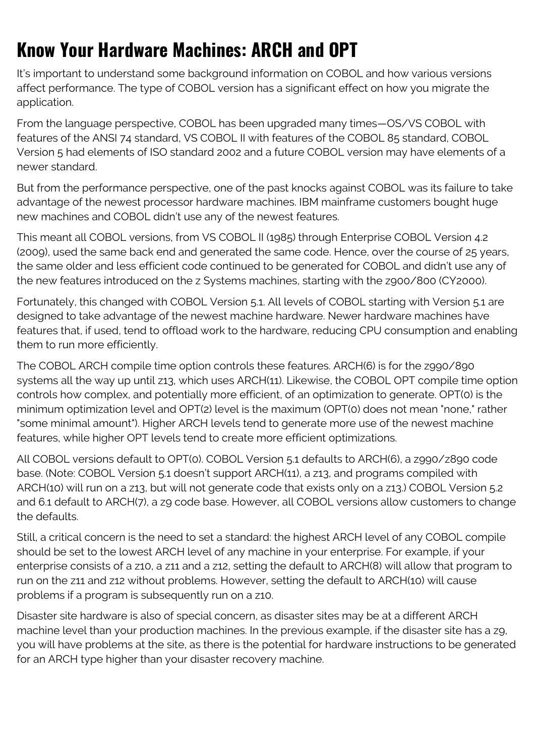# **Know Your Hardware Machines: ARCH and OPT**

It's important to understand some background information on COBOL and how various versions affect performance. The type of COBOL version has a significant effect on how you migrate the application.

From the language perspective, COBOL has been upgraded many times—OS/VS COBOL with features of the ANSI 74 standard, VS COBOL II with features of the COBOL 85 standard, COBOL Version 5 had elements of ISO standard 2002 and a future COBOL version may have elements of a newer standard.

But from the performance perspective, one of the past knocks against COBOL was its failure to take advantage of the newest processor hardware machines. IBM mainframe customers bought huge new machines and COBOL didn't use any of the newest features.

This meant all COBOL versions, from VS COBOL II (1985) through Enterprise COBOL Version 4.2 (2009), used the same back end and generated the same code. Hence, over the course of 25 years, the same older and less efficient code continued to be generated for COBOL and didn't use any of the new features introduced on the z Systems machines, starting with the z900/800 (CY2000).

Fortunately, this changed with COBOL Version 5.1. All levels of COBOL starting with Version 5.1 are designed to take advantage of the newest machine hardware. Newer hardware machines have features that, if used, tend to offload work to the hardware, reducing CPU consumption and enabling them to run more efficiently.

The COBOL ARCH compile time option controls these features. ARCH(6) is for the z990/890 systems all the way up until z13, which uses ARCH(11). Likewise, the COBOL OPT compile time option controls how complex, and potentially more efficient, of an optimization to generate. OPT(0) is the minimum optimization level and OPT(2) level is the maximum (OPT(0) does not mean "none," rather "some minimal amount"). Higher ARCH levels tend to generate more use of the newest machine features, while higher OPT levels tend to create more efficient optimizations.

All COBOL versions default to OPT(0). COBOL Version 5.1 defaults to ARCH(6), a z990/z890 code base. (Note: COBOL Version 5.1 doesn't support ARCH(11), a z13, and programs compiled with ARCH(10) will run on a z13, but will not generate code that exists only on a z13.) COBOL Version 5.2 and 6.1 default to ARCH(7), a zg code base. However, all COBOL versions allow customers to change the defaults.

Still, a critical concern is the need to set a standard: the highest ARCH level of any COBOL compile should be set to the lowest ARCH level of any machine in your enterprise. For example, if your enterprise consists of a z10, a z11 and a z12, setting the default to ARCH(8) will allow that program to run on the z11 and z12 without problems. However, setting the default to ARCH(10) will cause problems if a program is subsequently run on a z10.

Disaster site hardware is also of special concern, as disaster sites may be at a different ARCH machine level than your production machines. In the previous example, if the disaster site has a z9, you will have problems at the site, as there is the potential for hardware instructions to be generated for an ARCH type higher than your disaster recovery machine.